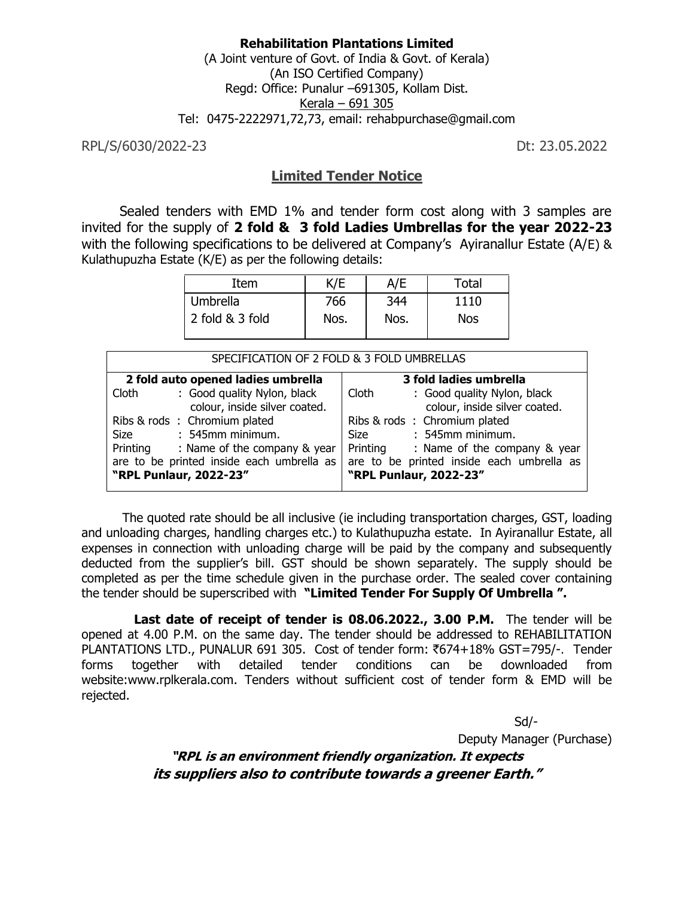#### **Rehabilitation Plantations Limited** (A Joint venture of Govt. of India & Govt. of Kerala) (An ISO Certified Company) Regd: Office: Punalur –691305, Kollam Dist. Kerala – 691 305 Tel: 0475-2222971,72,73, email: rehabpurchase@gmail.com

RPL/S/6030/2022-23 Dt: 23.05.2022

## **Limited Tender Notice**

 Sealed tenders with EMD 1% and tender form cost along with 3 samples are invited for the supply of **2 fold & 3 fold Ladies Umbrellas for the year 2022-23**  with the following specifications to be delivered at Company's Ayiranallur Estate (A/E) & Kulathupuzha Estate (K/E) as per the following details:

| Item            | K/E  | A/E  | Total      |
|-----------------|------|------|------------|
| <b>Umbrella</b> | 766  | 344  | 1110       |
| 2 fold & 3 fold | Nos. | Nos. | <b>Nos</b> |

| SPECIFICATION OF 2 FOLD & 3 FOLD UMBRELLAS                            |                                                                       |  |  |  |
|-----------------------------------------------------------------------|-----------------------------------------------------------------------|--|--|--|
| 2 fold auto opened ladies umbrella                                    | 3 fold ladies umbrella                                                |  |  |  |
| : Good quality Nylon, black<br>Cloth<br>colour, inside silver coated. | Cloth<br>: Good quality Nylon, black<br>colour, inside silver coated. |  |  |  |
| Ribs & rods: Chromium plated                                          | Ribs & rods: Chromium plated                                          |  |  |  |
| : 545mm minimum.<br>Size                                              | Size : 545mm minimum.                                                 |  |  |  |
| Printing : Name of the company & year                                 | Printing : Name of the company & year                                 |  |  |  |
| are to be printed inside each umbrella as<br>"RPL Punlaur, 2022-23"   | are to be printed inside each umbrella as<br>"RPL Punlaur, 2022-23"   |  |  |  |

The quoted rate should be all inclusive (ie including transportation charges, GST, loading and unloading charges, handling charges etc.) to Kulathupuzha estate. In Ayiranallur Estate, all expenses in connection with unloading charge will be paid by the company and subsequently deducted from the supplier's bill. GST should be shown separately. The supply should be completed as per the time schedule given in the purchase order. The sealed cover containing the tender should be superscribed with **"Limited Tender For Supply Of Umbrella ".**

 **Last date of receipt of tender is 08.06.2022., 3.00 P.M.** The tender will be opened at 4.00 P.M. on the same day. The tender should be addressed to REHABILITATION PLANTATIONS LTD., PUNALUR 691 305. Cost of tender form:  $\overline{6}74+18\%$  GST=795/-. Tender forms together with detailed tender conditions can be downloaded from website:www.rplkerala.com. Tenders without sufficient cost of tender form & EMD will be rejected.

> $Sd$ Deputy Manager (Purchase) **"RPL is an environment friendly organization. It expects its suppliers also to contribute towards a greener Earth."**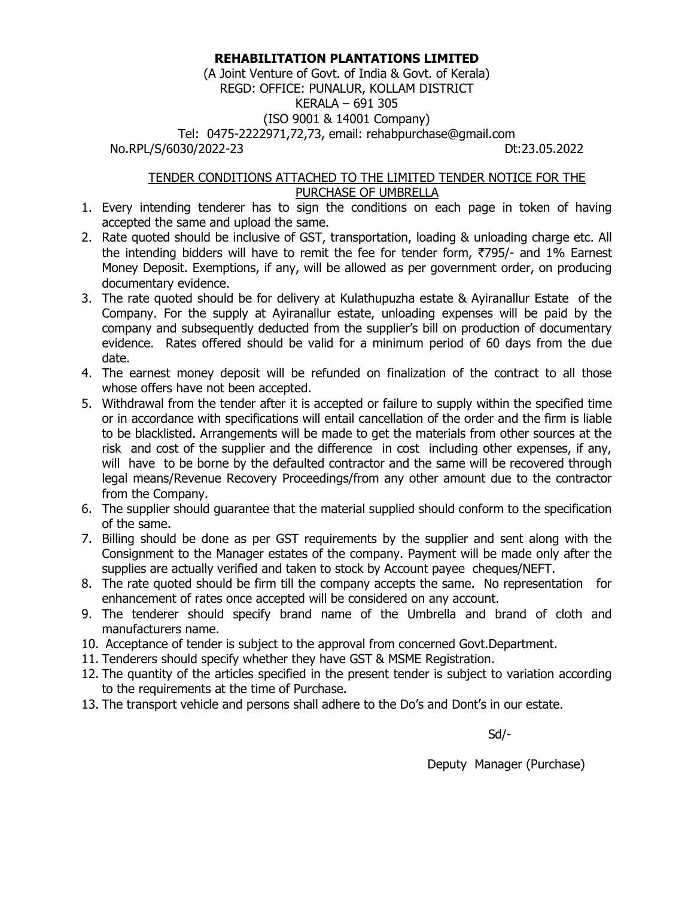## **REHABILITATION PLANTATIONS LIMITED**

(A Joint Venture of Govt. of India & Govt. of Kerala) REGD: OFFICE: PUNALUR, KOLLAM DISTRICT KERALA – 691 305 (ISO 9001 & 14001 Company) Tel: 0475-2222971,72,73, email: rehabpurchase@gmail.com No.RPL/S/6030/2022-23 Dt:23.05.2022

#### TENDER CONDITIONS ATTACHED TO THE LIMITED TENDER NOTICE FOR THE PURCHASE OF UMBRELLA

- 1. Every intending tenderer has to sign the conditions on each page in token of having accepted the same and upload the same.
- 2. Rate quoted should be inclusive of GST, transportation, loading & unloading charge etc. All the intending bidders will have to remit the fee for tender form,  $\overline{5795}$ - and 1% Earnest Money Deposit. Exemptions, if any, will be allowed as per government order, on producing documentary evidence.
- 3. The rate quoted should be for delivery at Kulathupuzha estate & Ayiranallur Estate of the Company. For the supply at Ayiranallur estate, unloading expenses will be paid by the company and subsequently deducted from the supplier's bill on production of documentary evidence. Rates offered should be valid for a minimum period of 60 days from the due date.
- 4. The earnest money deposit will be refunded on finalization of the contract to all those whose offers have not been accepted.
- 5. Withdrawal from the tender after it is accepted or failure to supply within the specified time or in accordance with specifications will entail cancellation of the order and the firm is liable to be blacklisted. Arrangements will be made to get the materials from other sources at the risk and cost of the supplier and the difference in cost including other expenses, if any, will have to be borne by the defaulted contractor and the same will be recovered through legal means/Revenue Recovery Proceedings/from any other amount due to the contractor from the Company.
- 6. The supplier should guarantee that the material supplied should conform to the specification of the same.
- 7. Billing should be done as per GST requirements by the supplier and sent along with the Consignment to the Manager estates of the company. Payment will be made only after the supplies are actually verified and taken to stock by Account payee cheques/NEFT.
- 8. The rate quoted should be firm till the company accepts the same. No representation for enhancement of rates once accepted will be considered on any account.
- 9. The tenderer should specify brand name of the Umbrella and brand of cloth and manufacturers name.
- 10. Acceptance of tender is subject to the approval from concerned Govt.Department.
- 11. Tenderers should specify whether they have GST & MSME Registration.
- 12. The quantity of the articles specified in the present tender is subject to variation according to the requirements at the time of Purchase.
- 13. The transport vehicle and persons shall adhere to the Do's and Dont's in our estate.

 $Sd$ 

Deputy Manager (Purchase)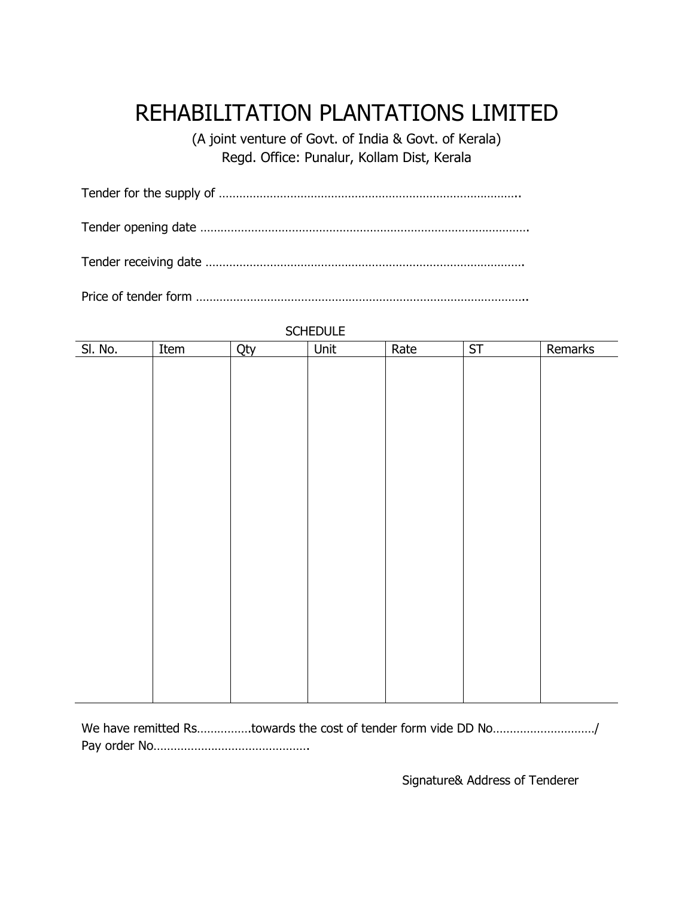# REHABILITATION PLANTATIONS LIMITED

(A joint venture of Govt. of India & Govt. of Kerala) Regd. Office: Punalur, Kollam Dist, Kerala

Tender for the supply of ……………………………………………………………………………..

Tender opening date …………………………………………………………………………………….

Tender receiving date ………………………………………………………………………………….

Price of tender form ……………………………………………………………………………………..

| Qty |  |
|-----|--|
|     |  |
|     |  |
|     |  |
|     |  |
|     |  |
|     |  |
|     |  |
|     |  |
|     |  |
|     |  |
|     |  |
|     |  |
|     |  |
|     |  |
|     |  |
|     |  |
|     |  |
|     |  |
|     |  |
|     |  |

**SCHEDULE** 

We have remitted Rs................towards the cost of tender form vide DD No............................../ Pay order No……………………………………….

Signature& Address of Tenderer